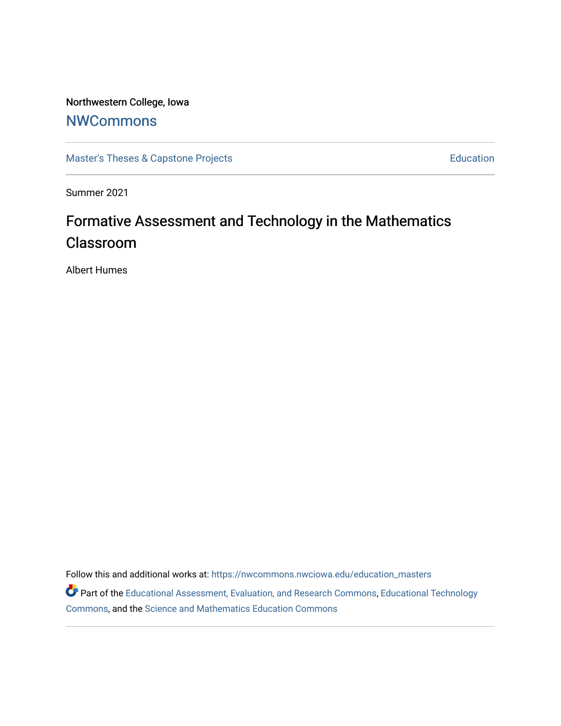## Northwestern College, Iowa

## **[NWCommons](https://nwcommons.nwciowa.edu/)**

[Master's Theses & Capstone Projects](https://nwcommons.nwciowa.edu/education_masters) **Education** Education

Summer 2021

# Formative Assessment and Technology in the Mathematics Classroom

Albert Humes

Follow this and additional works at: [https://nwcommons.nwciowa.edu/education\\_masters](https://nwcommons.nwciowa.edu/education_masters?utm_source=nwcommons.nwciowa.edu%2Feducation_masters%2F312&utm_medium=PDF&utm_campaign=PDFCoverPages)

Part of the [Educational Assessment, Evaluation, and Research Commons](http://network.bepress.com/hgg/discipline/796?utm_source=nwcommons.nwciowa.edu%2Feducation_masters%2F312&utm_medium=PDF&utm_campaign=PDFCoverPages), [Educational Technology](http://network.bepress.com/hgg/discipline/1415?utm_source=nwcommons.nwciowa.edu%2Feducation_masters%2F312&utm_medium=PDF&utm_campaign=PDFCoverPages)  [Commons](http://network.bepress.com/hgg/discipline/1415?utm_source=nwcommons.nwciowa.edu%2Feducation_masters%2F312&utm_medium=PDF&utm_campaign=PDFCoverPages), and the [Science and Mathematics Education Commons](http://network.bepress.com/hgg/discipline/800?utm_source=nwcommons.nwciowa.edu%2Feducation_masters%2F312&utm_medium=PDF&utm_campaign=PDFCoverPages)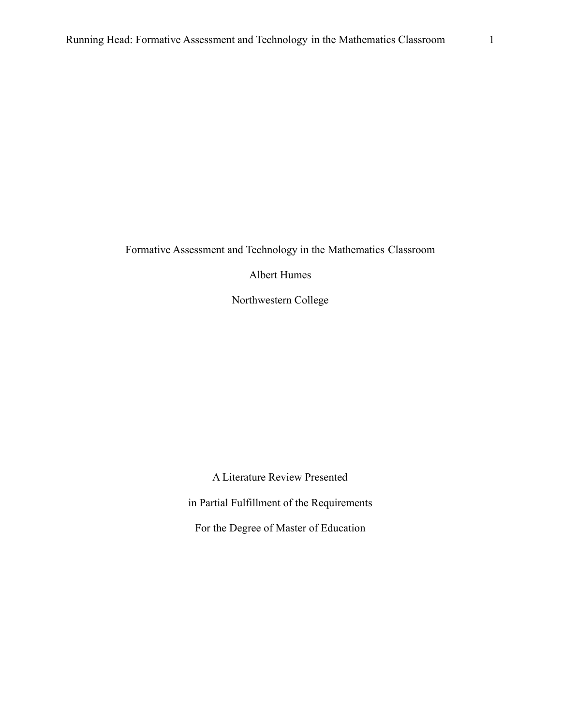Albert Humes

Northwestern College

A Literature Review Presented in Partial Fulfillment of the Requirements For the Degree of Master of Education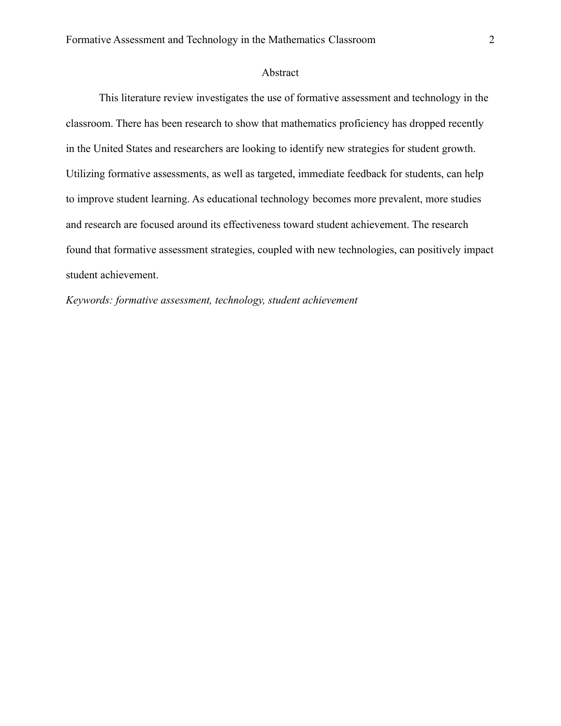#### Abstract

This literature review investigates the use of formative assessment and technology in the classroom. There has been research to show that mathematics proficiency has dropped recently in the United States and researchers are looking to identify new strategies for student growth. Utilizing formative assessments, as well as targeted, immediate feedback for students, can help to improve student learning. As educational technology becomes more prevalent, more studies and research are focused around its effectiveness toward student achievement. The research found that formative assessment strategies, coupled with new technologies, can positively impact student achievement.

*Keywords: formative assessment, technology, student achievement*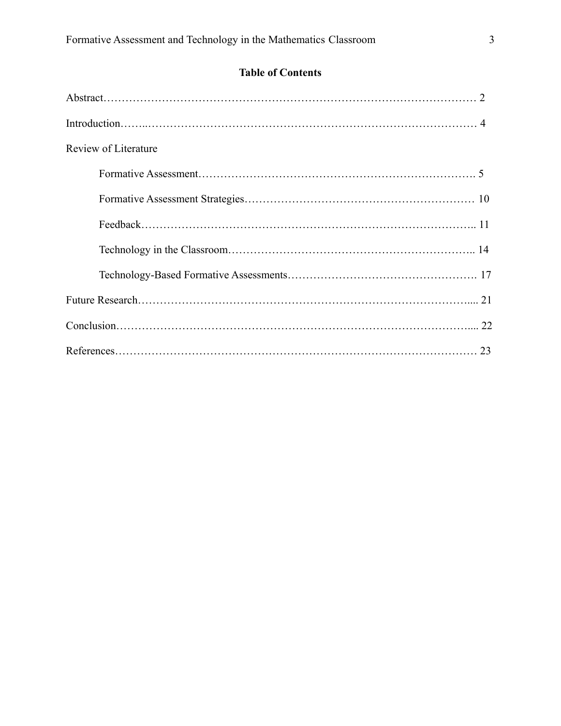### **Table of Contents**

| Review of Literature |  |
|----------------------|--|
|                      |  |
|                      |  |
|                      |  |
|                      |  |
|                      |  |
|                      |  |
|                      |  |
|                      |  |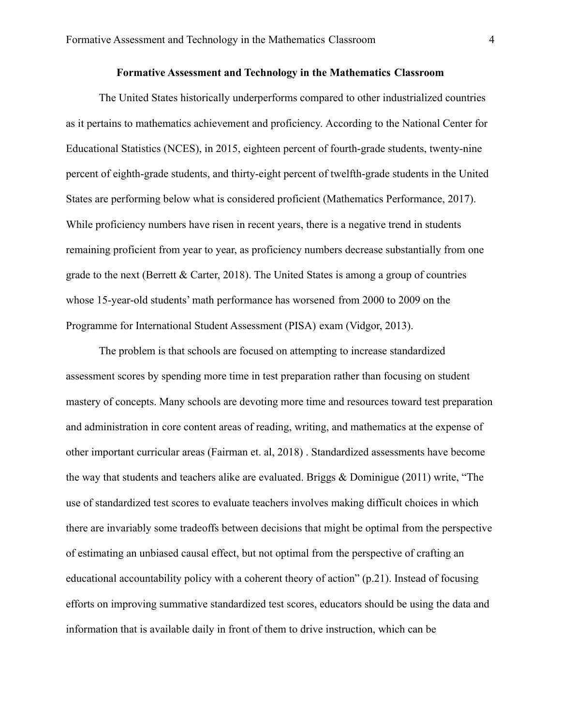The United States historically underperforms compared to other industrialized countries as it pertains to mathematics achievement and proficiency. According to the National Center for Educational Statistics (NCES), in 2015, eighteen percent of fourth-grade students, twenty-nine percent of eighth-grade students, and thirty-eight percent of twelfth-grade students in the United States are performing below what is considered proficient (Mathematics Performance, 2017). While proficiency numbers have risen in recent years, there is a negative trend in students remaining proficient from year to year, as proficiency numbers decrease substantially from one grade to the next (Berrett & Carter, 2018). The United States is among a group of countries whose 15-year-old students' math performance has worsened from 2000 to 2009 on the Programme for International Student Assessment (PISA) exam (Vidgor, 2013).

The problem is that schools are focused on attempting to increase standardized assessment scores by spending more time in test preparation rather than focusing on student mastery of concepts. Many schools are devoting more time and resources toward test preparation and administration in core content areas of reading, writing, and mathematics at the expense of other important curricular areas (Fairman et. al, 2018) . Standardized assessments have become the way that students and teachers alike are evaluated. Briggs & Dominigue (2011) write, "The use of standardized test scores to evaluate teachers involves making difficult choices in which there are invariably some tradeoffs between decisions that might be optimal from the perspective of estimating an unbiased causal effect, but not optimal from the perspective of crafting an educational accountability policy with a coherent theory of action" (p.21). Instead of focusing efforts on improving summative standardized test scores, educators should be using the data and information that is available daily in front of them to drive instruction, which can be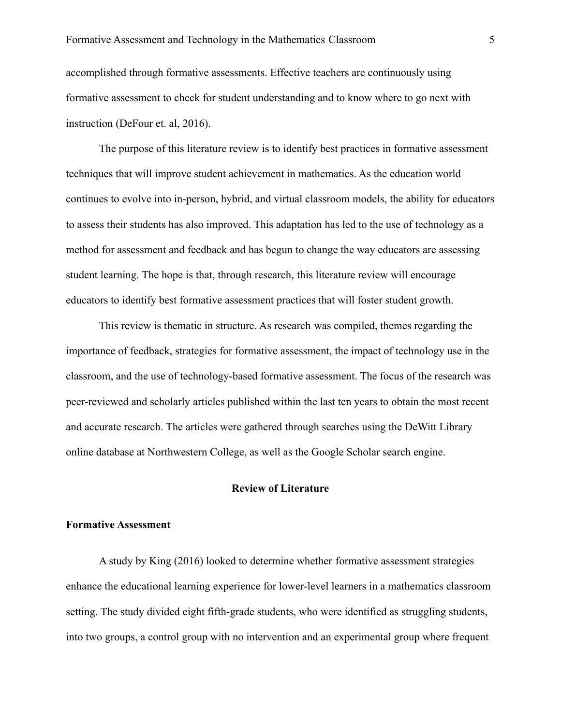accomplished through formative assessments. Effective teachers are continuously using formative assessment to check for student understanding and to know where to go next with instruction (DeFour et. al, 2016).

The purpose of this literature review is to identify best practices in formative assessment techniques that will improve student achievement in mathematics. As the education world continues to evolve into in-person, hybrid, and virtual classroom models, the ability for educators to assess their students has also improved. This adaptation has led to the use of technology as a method for assessment and feedback and has begun to change the way educators are assessing student learning. The hope is that, through research, this literature review will encourage educators to identify best formative assessment practices that will foster student growth.

This review is thematic in structure. As research was compiled, themes regarding the importance of feedback, strategies for formative assessment, the impact of technology use in the classroom, and the use of technology-based formative assessment. The focus of the research was peer-reviewed and scholarly articles published within the last ten years to obtain the most recent and accurate research. The articles were gathered through searches using the DeWitt Library online database at Northwestern College, as well as the Google Scholar search engine.

#### **Review of Literature**

#### **Formative Assessment**

A study by King (2016) looked to determine whether formative assessment strategies enhance the educational learning experience for lower-level learners in a mathematics classroom setting. The study divided eight fifth-grade students, who were identified as struggling students, into two groups, a control group with no intervention and an experimental group where frequent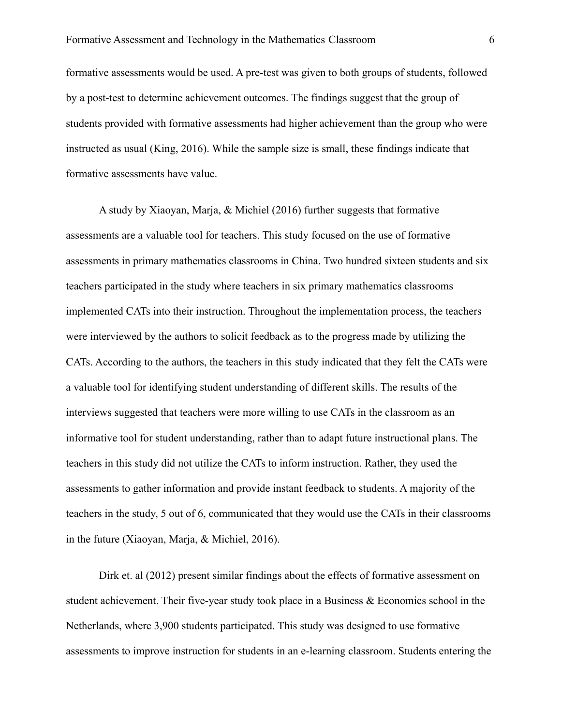formative assessments would be used. A pre-test was given to both groups of students, followed by a post-test to determine achievement outcomes. The findings suggest that the group of students provided with formative assessments had higher achievement than the group who were instructed as usual (King, 2016). While the sample size is small, these findings indicate that formative assessments have value.

A study by Xiaoyan, Marja, & Michiel (2016) further suggests that formative assessments are a valuable tool for teachers. This study focused on the use of formative assessments in primary mathematics classrooms in China. Two hundred sixteen students and six teachers participated in the study where teachers in six primary mathematics classrooms implemented CATs into their instruction. Throughout the implementation process, the teachers were interviewed by the authors to solicit feedback as to the progress made by utilizing the CATs. According to the authors, the teachers in this study indicated that they felt the CATs were a valuable tool for identifying student understanding of different skills. The results of the interviews suggested that teachers were more willing to use CATs in the classroom as an informative tool for student understanding, rather than to adapt future instructional plans. The teachers in this study did not utilize the CATs to inform instruction. Rather, they used the assessments to gather information and provide instant feedback to students. A majority of the teachers in the study, 5 out of 6, communicated that they would use the CATs in their classrooms in the future (Xiaoyan, Marja, & Michiel, 2016).

Dirk et. al (2012) present similar findings about the effects of formative assessment on student achievement. Their five-year study took place in a Business  $\&$  Economics school in the Netherlands, where 3,900 students participated. This study was designed to use formative assessments to improve instruction for students in an e-learning classroom. Students entering the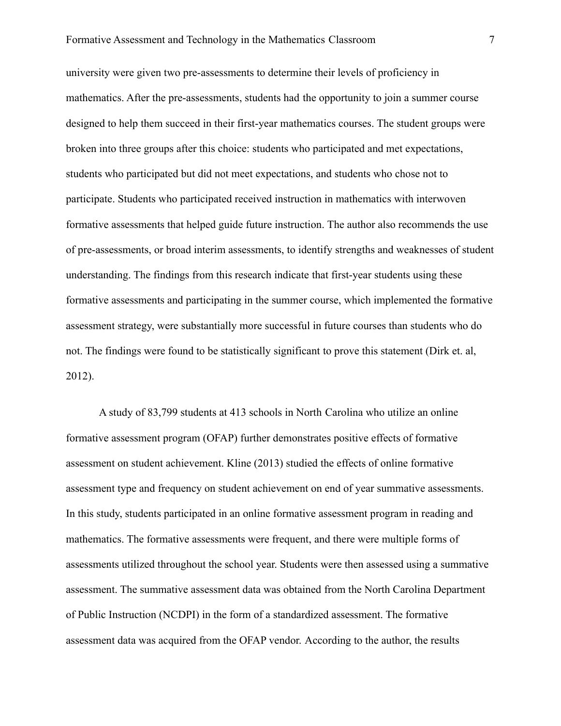university were given two pre-assessments to determine their levels of proficiency in mathematics. After the pre-assessments, students had the opportunity to join a summer course designed to help them succeed in their first-year mathematics courses. The student groups were broken into three groups after this choice: students who participated and met expectations, students who participated but did not meet expectations, and students who chose not to participate. Students who participated received instruction in mathematics with interwoven formative assessments that helped guide future instruction. The author also recommends the use of pre-assessments, or broad interim assessments, to identify strengths and weaknesses of student understanding. The findings from this research indicate that first-year students using these formative assessments and participating in the summer course, which implemented the formative assessment strategy, were substantially more successful in future courses than students who do not. The findings were found to be statistically significant to prove this statement (Dirk et. al, 2012).

A study of 83,799 students at 413 schools in North Carolina who utilize an online formative assessment program (OFAP) further demonstrates positive effects of formative assessment on student achievement. Kline (2013) studied the effects of online formative assessment type and frequency on student achievement on end of year summative assessments. In this study, students participated in an online formative assessment program in reading and mathematics. The formative assessments were frequent, and there were multiple forms of assessments utilized throughout the school year. Students were then assessed using a summative assessment. The summative assessment data was obtained from the North Carolina Department of Public Instruction (NCDPI) in the form of a standardized assessment. The formative assessment data was acquired from the OFAP vendor. According to the author, the results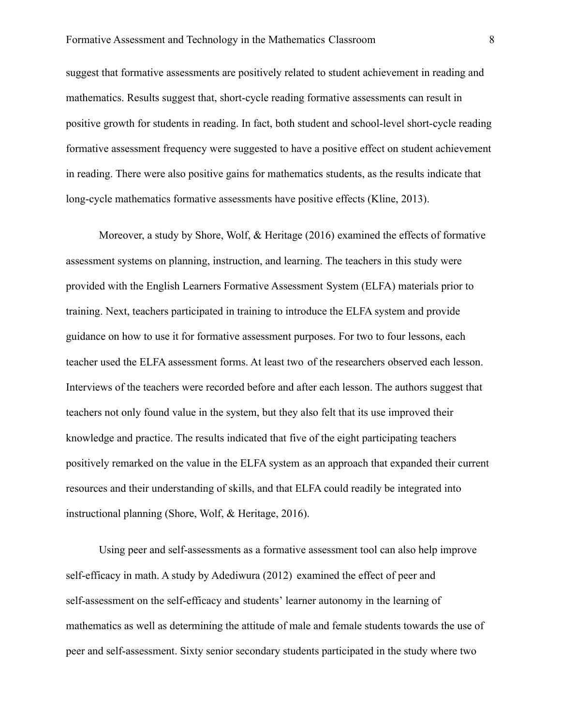suggest that formative assessments are positively related to student achievement in reading and mathematics. Results suggest that, short-cycle reading formative assessments can result in positive growth for students in reading. In fact, both student and school-level short-cycle reading formative assessment frequency were suggested to have a positive effect on student achievement in reading. There were also positive gains for mathematics students, as the results indicate that long-cycle mathematics formative assessments have positive effects (Kline, 2013).

Moreover, a study by Shore, Wolf, & Heritage (2016) examined the effects of formative assessment systems on planning, instruction, and learning. The teachers in this study were provided with the English Learners Formative Assessment System (ELFA) materials prior to training. Next, teachers participated in training to introduce the ELFA system and provide guidance on how to use it for formative assessment purposes. For two to four lessons, each teacher used the ELFA assessment forms. At least two of the researchers observed each lesson. Interviews of the teachers were recorded before and after each lesson. The authors suggest that teachers not only found value in the system, but they also felt that its use improved their knowledge and practice. The results indicated that five of the eight participating teachers positively remarked on the value in the ELFA system as an approach that expanded their current resources and their understanding of skills, and that ELFA could readily be integrated into instructional planning (Shore, Wolf, & Heritage, 2016).

Using peer and self-assessments as a formative assessment tool can also help improve self-efficacy in math. A study by Adediwura (2012) examined the effect of peer and self-assessment on the self-efficacy and students' learner autonomy in the learning of mathematics as well as determining the attitude of male and female students towards the use of peer and self-assessment. Sixty senior secondary students participated in the study where two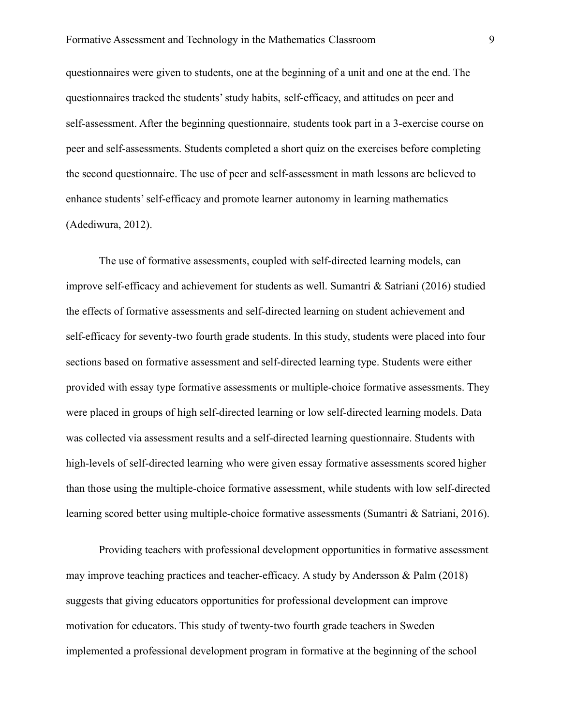questionnaires were given to students, one at the beginning of a unit and one at the end. The questionnaires tracked the students' study habits, self-efficacy, and attitudes on peer and self-assessment. After the beginning questionnaire, students took part in a 3-exercise course on peer and self-assessments. Students completed a short quiz on the exercises before completing the second questionnaire. The use of peer and self-assessment in math lessons are believed to enhance students' self-efficacy and promote learner autonomy in learning mathematics (Adediwura, 2012).

The use of formative assessments, coupled with self-directed learning models, can improve self-efficacy and achievement for students as well. Sumantri & Satriani (2016) studied the effects of formative assessments and self-directed learning on student achievement and self-efficacy for seventy-two fourth grade students. In this study, students were placed into four sections based on formative assessment and self-directed learning type. Students were either provided with essay type formative assessments or multiple-choice formative assessments. They were placed in groups of high self-directed learning or low self-directed learning models. Data was collected via assessment results and a self-directed learning questionnaire. Students with high-levels of self-directed learning who were given essay formative assessments scored higher than those using the multiple-choice formative assessment, while students with low self-directed learning scored better using multiple-choice formative assessments (Sumantri & Satriani, 2016).

Providing teachers with professional development opportunities in formative assessment may improve teaching practices and teacher-efficacy. A study by Andersson & Palm (2018) suggests that giving educators opportunities for professional development can improve motivation for educators. This study of twenty-two fourth grade teachers in Sweden implemented a professional development program in formative at the beginning of the school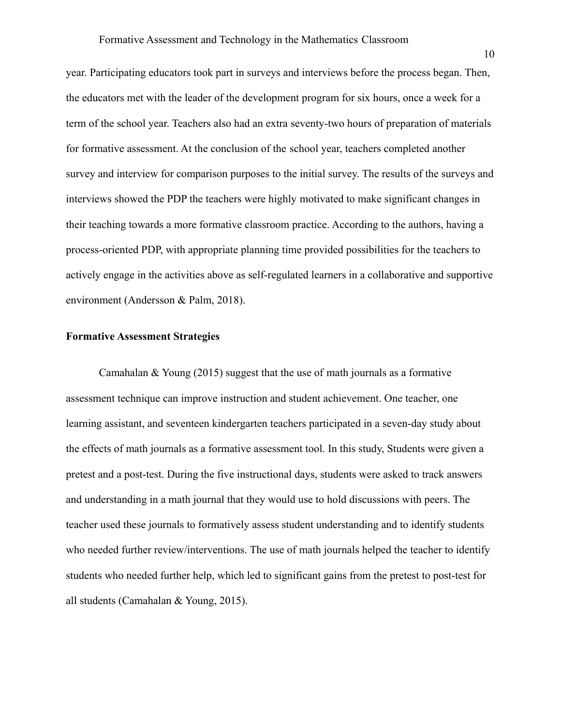year. Participating educators took part in surveys and interviews before the process began. Then, the educators met with the leader of the development program for six hours, once a week for a term of the school year. Teachers also had an extra seventy-two hours of preparation of materials for formative assessment. At the conclusion of the school year, teachers completed another survey and interview for comparison purposes to the initial survey. The results of the surveys and interviews showed the PDP the teachers were highly motivated to make significant changes in their teaching towards a more formative classroom practice. According to the authors, having a process-oriented PDP, with appropriate planning time provided possibilities for the teachers to actively engage in the activities above as self-regulated learners in a collaborative and supportive environment (Andersson & Palm, 2018).

#### **Formative Assessment Strategies**

Camahalan & Young (2015) suggest that the use of math journals as a formative assessment technique can improve instruction and student achievement. One teacher, one learning assistant, and seventeen kindergarten teachers participated in a seven-day study about the effects of math journals as a formative assessment tool. In this study, Students were given a pretest and a post-test. During the five instructional days, students were asked to track answers and understanding in a math journal that they would use to hold discussions with peers. The teacher used these journals to formatively assess student understanding and to identify students who needed further review/interventions. The use of math journals helped the teacher to identify students who needed further help, which led to significant gains from the pretest to post-test for all students (Camahalan & Young, 2015).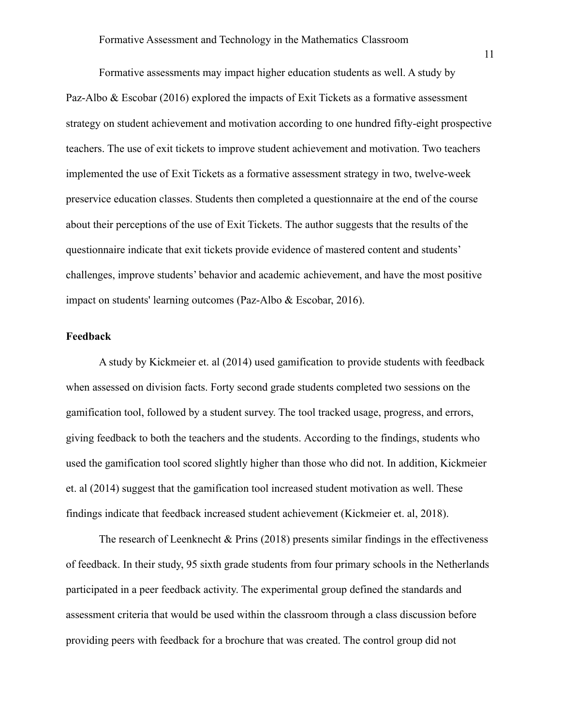Formative assessments may impact higher education students as well. A study by Paz-Albo & Escobar (2016) explored the impacts of Exit Tickets as a formative assessment strategy on student achievement and motivation according to one hundred fifty-eight prospective teachers. The use of exit tickets to improve student achievement and motivation. Two teachers implemented the use of Exit Tickets as a formative assessment strategy in two, twelve-week preservice education classes. Students then completed a questionnaire at the end of the course about their perceptions of the use of Exit Tickets. The author suggests that the results of the questionnaire indicate that exit tickets provide evidence of mastered content and students' challenges, improve students' behavior and academic achievement, and have the most positive impact on students' learning outcomes (Paz-Albo & Escobar, 2016).

#### **Feedback**

A study by Kickmeier et. al (2014) used gamification to provide students with feedback when assessed on division facts. Forty second grade students completed two sessions on the gamification tool, followed by a student survey. The tool tracked usage, progress, and errors, giving feedback to both the teachers and the students. According to the findings, students who used the gamification tool scored slightly higher than those who did not. In addition, Kickmeier et. al (2014) suggest that the gamification tool increased student motivation as well. These findings indicate that feedback increased student achievement (Kickmeier et. al, 2018).

The research of Leenknecht & Prins (2018) presents similar findings in the effectiveness of feedback. In their study, 95 sixth grade students from four primary schools in the Netherlands participated in a peer feedback activity. The experimental group defined the standards and assessment criteria that would be used within the classroom through a class discussion before providing peers with feedback for a brochure that was created. The control group did not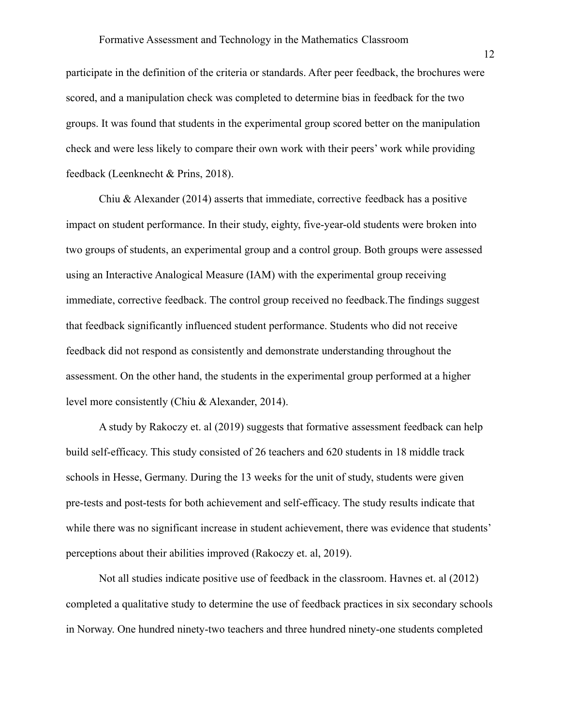participate in the definition of the criteria or standards. After peer feedback, the brochures were scored, and a manipulation check was completed to determine bias in feedback for the two groups. It was found that students in the experimental group scored better on the manipulation check and were less likely to compare their own work with their peers' work while providing feedback (Leenknecht & Prins, 2018).

Chiu  $\&$  Alexander (2014) asserts that immediate, corrective feedback has a positive impact on student performance. In their study, eighty, five-year-old students were broken into two groups of students, an experimental group and a control group. Both groups were assessed using an Interactive Analogical Measure (IAM) with the experimental group receiving immediate, corrective feedback. The control group received no feedback.The findings suggest that feedback significantly influenced student performance. Students who did not receive feedback did not respond as consistently and demonstrate understanding throughout the assessment. On the other hand, the students in the experimental group performed at a higher level more consistently (Chiu & Alexander, 2014).

A study by Rakoczy et. al (2019) suggests that formative assessment feedback can help build self-efficacy. This study consisted of 26 teachers and 620 students in 18 middle track schools in Hesse, Germany. During the 13 weeks for the unit of study, students were given pre-tests and post-tests for both achievement and self-efficacy. The study results indicate that while there was no significant increase in student achievement, there was evidence that students' perceptions about their abilities improved (Rakoczy et. al, 2019).

Not all studies indicate positive use of feedback in the classroom. Havnes et. al (2012) completed a qualitative study to determine the use of feedback practices in six secondary schools in Norway. One hundred ninety-two teachers and three hundred ninety-one students completed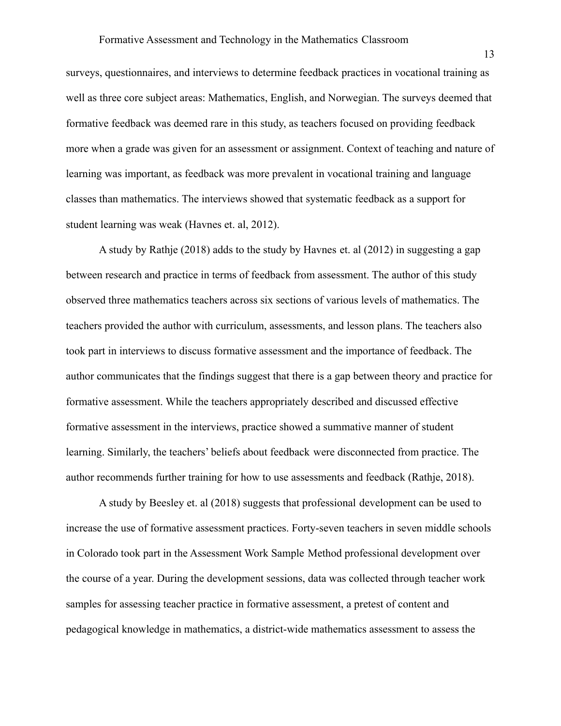surveys, questionnaires, and interviews to determine feedback practices in vocational training as well as three core subject areas: Mathematics, English, and Norwegian. The surveys deemed that formative feedback was deemed rare in this study, as teachers focused on providing feedback more when a grade was given for an assessment or assignment. Context of teaching and nature of learning was important, as feedback was more prevalent in vocational training and language classes than mathematics. The interviews showed that systematic feedback as a support for student learning was weak (Havnes et. al, 2012).

A study by Rathje (2018) adds to the study by Havnes et. al (2012) in suggesting a gap between research and practice in terms of feedback from assessment. The author of this study observed three mathematics teachers across six sections of various levels of mathematics. The teachers provided the author with curriculum, assessments, and lesson plans. The teachers also took part in interviews to discuss formative assessment and the importance of feedback. The author communicates that the findings suggest that there is a gap between theory and practice for formative assessment. While the teachers appropriately described and discussed effective formative assessment in the interviews, practice showed a summative manner of student learning. Similarly, the teachers' beliefs about feedback were disconnected from practice. The author recommends further training for how to use assessments and feedback (Rathje, 2018).

A study by Beesley et. al (2018) suggests that professional development can be used to increase the use of formative assessment practices. Forty-seven teachers in seven middle schools in Colorado took part in the Assessment Work Sample Method professional development over the course of a year. During the development sessions, data was collected through teacher work samples for assessing teacher practice in formative assessment, a pretest of content and pedagogical knowledge in mathematics, a district-wide mathematics assessment to assess the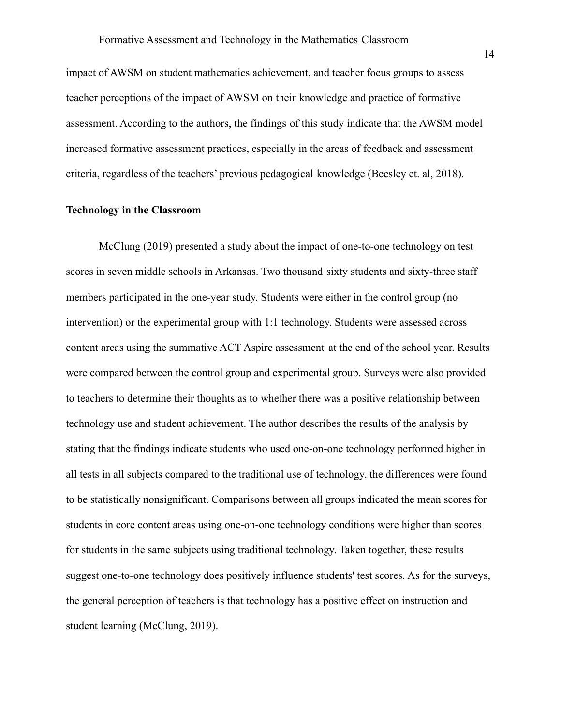impact of AWSM on student mathematics achievement, and teacher focus groups to assess teacher perceptions of the impact of AWSM on their knowledge and practice of formative assessment. According to the authors, the findings of this study indicate that the AWSM model increased formative assessment practices, especially in the areas of feedback and assessment criteria, regardless of the teachers' previous pedagogical knowledge (Beesley et. al, 2018).

#### **Technology in the Classroom**

McClung (2019) presented a study about the impact of one-to-one technology on test scores in seven middle schools in Arkansas. Two thousand sixty students and sixty-three staff members participated in the one-year study. Students were either in the control group (no intervention) or the experimental group with 1:1 technology. Students were assessed across content areas using the summative ACT Aspire assessment at the end of the school year. Results were compared between the control group and experimental group. Surveys were also provided to teachers to determine their thoughts as to whether there was a positive relationship between technology use and student achievement. The author describes the results of the analysis by stating that the findings indicate students who used one-on-one technology performed higher in all tests in all subjects compared to the traditional use of technology, the differences were found to be statistically nonsignificant. Comparisons between all groups indicated the mean scores for students in core content areas using one-on-one technology conditions were higher than scores for students in the same subjects using traditional technology. Taken together, these results suggest one-to-one technology does positively influence students' test scores. As for the surveys, the general perception of teachers is that technology has a positive effect on instruction and student learning (McClung, 2019).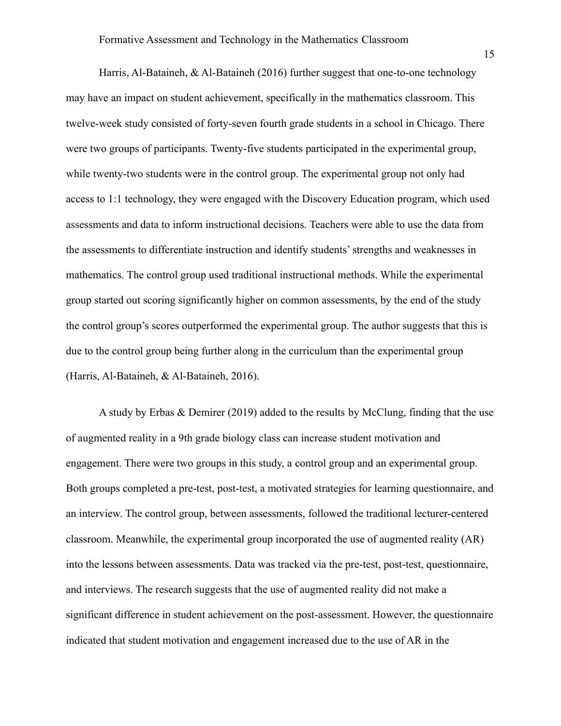Harris, Al-Bataineh, & Al-Bataineh (2016) further suggest that one-to-one technology may have an impact on student achievement, specifically in the mathematics classroom. This twelve-week study consisted of forty-seven fourth grade students in a school in Chicago. There were two groups of participants. Twenty-five students participated in the experimental group, while twenty-two students were in the control group. The experimental group not only had access to 1:1 technology, they were engaged with the Discovery Education program, which used assessments and data to inform instructional decisions. Teachers were able to use the data from the assessments to differentiate instruction and identify students' strengths and weaknesses in mathematics. The control group used traditional instructional methods. While the experimental group started out scoring significantly higher on common assessments, by the end of the study the control group's scores outperformed the experimental group. The author suggests that this is due to the control group being further along in the curriculum than the experimental group (Harris, Al-Bataineh, & Al-Bataineh, 2016).

A study by Erbas & Demirer (2019) added to the results by McClung, finding that the use of augmented reality in a 9th grade biology class can increase student motivation and engagement. There were two groups in this study, a control group and an experimental group. Both groups completed a pre-test, post-test, a motivated strategies for learning questionnaire, and an interview. The control group, between assessments, followed the traditional lecturer-centered classroom. Meanwhile, the experimental group incorporated the use of augmented reality (AR) into the lessons between assessments. Data was tracked via the pre-test, post-test, questionnaire, and interviews. The research suggests that the use of augmented reality did not make a significant difference in student achievement on the post-assessment. However, the questionnaire indicated that student motivation and engagement increased due to the use of AR in the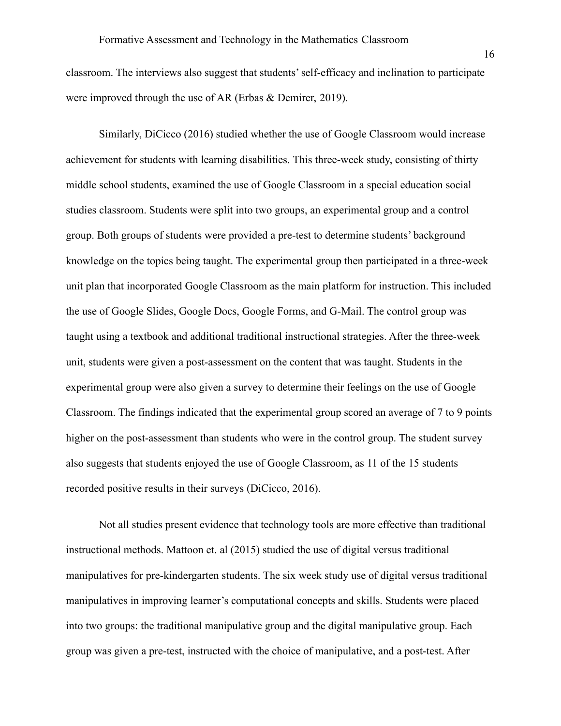classroom. The interviews also suggest that students' self-efficacy and inclination to participate were improved through the use of AR (Erbas & Demirer, 2019).

Similarly, DiCicco (2016) studied whether the use of Google Classroom would increase achievement for students with learning disabilities. This three-week study, consisting of thirty middle school students, examined the use of Google Classroom in a special education social studies classroom. Students were split into two groups, an experimental group and a control group. Both groups of students were provided a pre-test to determine students' background knowledge on the topics being taught. The experimental group then participated in a three-week unit plan that incorporated Google Classroom as the main platform for instruction. This included the use of Google Slides, Google Docs, Google Forms, and G-Mail. The control group was taught using a textbook and additional traditional instructional strategies. After the three-week unit, students were given a post-assessment on the content that was taught. Students in the experimental group were also given a survey to determine their feelings on the use of Google Classroom. The findings indicated that the experimental group scored an average of 7 to 9 points higher on the post-assessment than students who were in the control group. The student survey also suggests that students enjoyed the use of Google Classroom, as 11 of the 15 students recorded positive results in their surveys (DiCicco, 2016).

Not all studies present evidence that technology tools are more effective than traditional instructional methods. Mattoon et. al (2015) studied the use of digital versus traditional manipulatives for pre-kindergarten students. The six week study use of digital versus traditional manipulatives in improving learner's computational concepts and skills. Students were placed into two groups: the traditional manipulative group and the digital manipulative group. Each group was given a pre-test, instructed with the choice of manipulative, and a post-test. After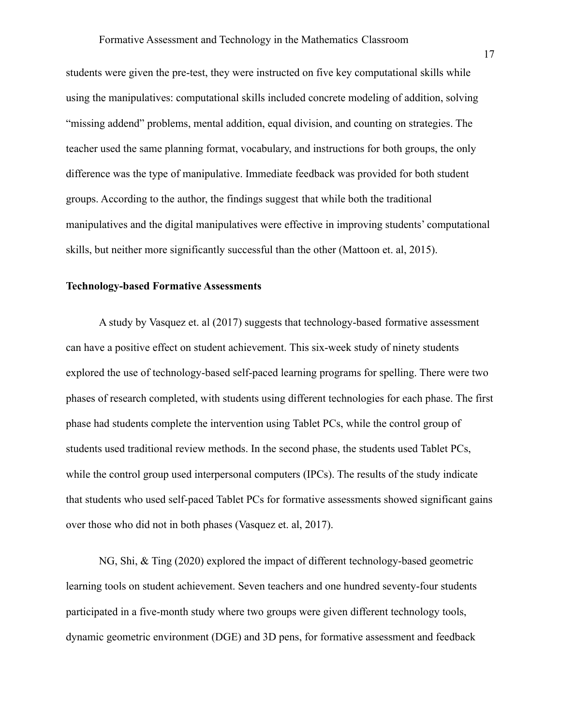students were given the pre-test, they were instructed on five key computational skills while using the manipulatives: computational skills included concrete modeling of addition, solving "missing addend" problems, mental addition, equal division, and counting on strategies. The teacher used the same planning format, vocabulary, and instructions for both groups, the only difference was the type of manipulative. Immediate feedback was provided for both student groups. According to the author, the findings suggest that while both the traditional manipulatives and the digital manipulatives were effective in improving students' computational skills, but neither more significantly successful than the other (Mattoon et. al, 2015).

#### **Technology-based Formative Assessments**

A study by Vasquez et. al (2017) suggests that technology-based formative assessment can have a positive effect on student achievement. This six-week study of ninety students explored the use of technology-based self-paced learning programs for spelling. There were two phases of research completed, with students using different technologies for each phase. The first phase had students complete the intervention using Tablet PCs, while the control group of students used traditional review methods. In the second phase, the students used Tablet PCs, while the control group used interpersonal computers (IPCs). The results of the study indicate that students who used self-paced Tablet PCs for formative assessments showed significant gains over those who did not in both phases (Vasquez et. al, 2017).

NG, Shi, & Ting (2020) explored the impact of different technology-based geometric learning tools on student achievement. Seven teachers and one hundred seventy-four students participated in a five-month study where two groups were given different technology tools, dynamic geometric environment (DGE) and 3D pens, for formative assessment and feedback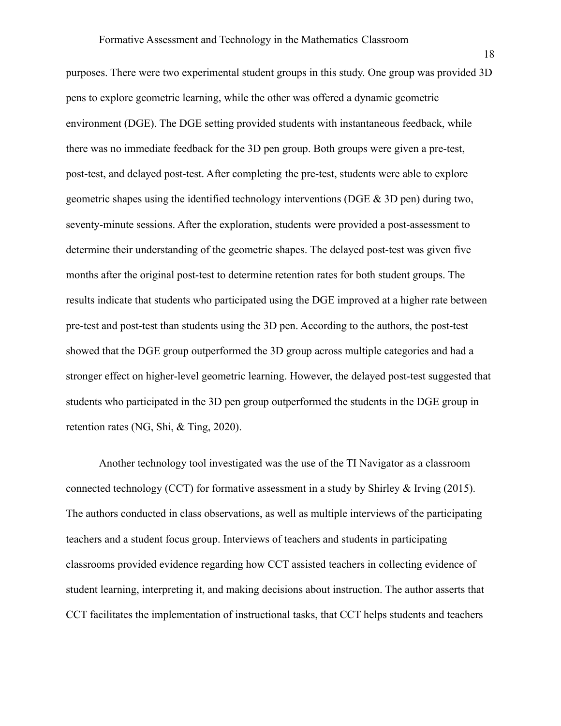purposes. There were two experimental student groups in this study. One group was provided 3D pens to explore geometric learning, while the other was offered a dynamic geometric environment (DGE). The DGE setting provided students with instantaneous feedback, while there was no immediate feedback for the 3D pen group. Both groups were given a pre-test, post-test, and delayed post-test. After completing the pre-test, students were able to explore geometric shapes using the identified technology interventions (DGE & 3D pen) during two, seventy-minute sessions. After the exploration, students were provided a post-assessment to determine their understanding of the geometric shapes. The delayed post-test was given five months after the original post-test to determine retention rates for both student groups. The results indicate that students who participated using the DGE improved at a higher rate between pre-test and post-test than students using the 3D pen. According to the authors, the post-test showed that the DGE group outperformed the 3D group across multiple categories and had a stronger effect on higher-level geometric learning. However, the delayed post-test suggested that students who participated in the 3D pen group outperformed the students in the DGE group in retention rates (NG, Shi, & Ting, 2020).

Another technology tool investigated was the use of the TI Navigator as a classroom connected technology (CCT) for formative assessment in a study by Shirley & Irving (2015). The authors conducted in class observations, as well as multiple interviews of the participating teachers and a student focus group. Interviews of teachers and students in participating classrooms provided evidence regarding how CCT assisted teachers in collecting evidence of student learning, interpreting it, and making decisions about instruction. The author asserts that CCT facilitates the implementation of instructional tasks, that CCT helps students and teachers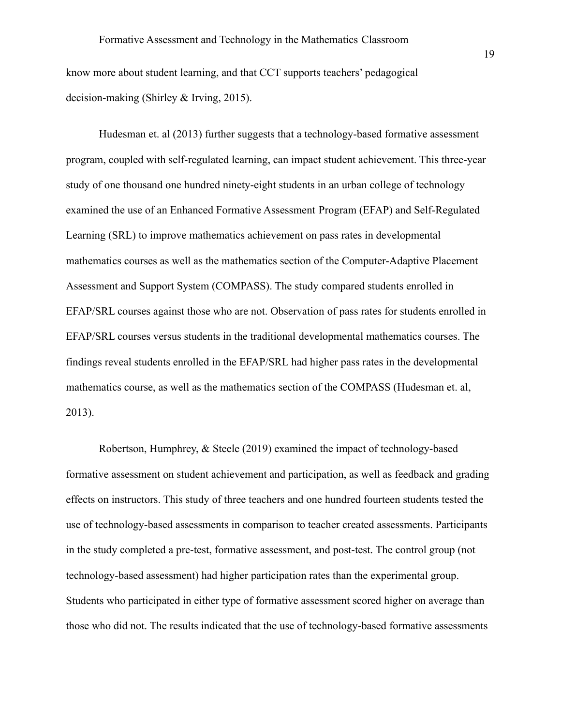know more about student learning, and that CCT supports teachers' pedagogical decision-making (Shirley & Irving, 2015).

Hudesman et. al (2013) further suggests that a technology-based formative assessment program, coupled with self-regulated learning, can impact student achievement. This three-year study of one thousand one hundred ninety-eight students in an urban college of technology examined the use of an Enhanced Formative Assessment Program (EFAP) and Self-Regulated Learning (SRL) to improve mathematics achievement on pass rates in developmental mathematics courses as well as the mathematics section of the Computer-Adaptive Placement Assessment and Support System (COMPASS). The study compared students enrolled in EFAP/SRL courses against those who are not. Observation of pass rates for students enrolled in EFAP/SRL courses versus students in the traditional developmental mathematics courses. The findings reveal students enrolled in the EFAP/SRL had higher pass rates in the developmental mathematics course, as well as the mathematics section of the COMPASS (Hudesman et. al, 2013).

Robertson, Humphrey, & Steele (2019) examined the impact of technology-based formative assessment on student achievement and participation, as well as feedback and grading effects on instructors. This study of three teachers and one hundred fourteen students tested the use of technology-based assessments in comparison to teacher created assessments. Participants in the study completed a pre-test, formative assessment, and post-test. The control group (not technology-based assessment) had higher participation rates than the experimental group. Students who participated in either type of formative assessment scored higher on average than those who did not. The results indicated that the use of technology-based formative assessments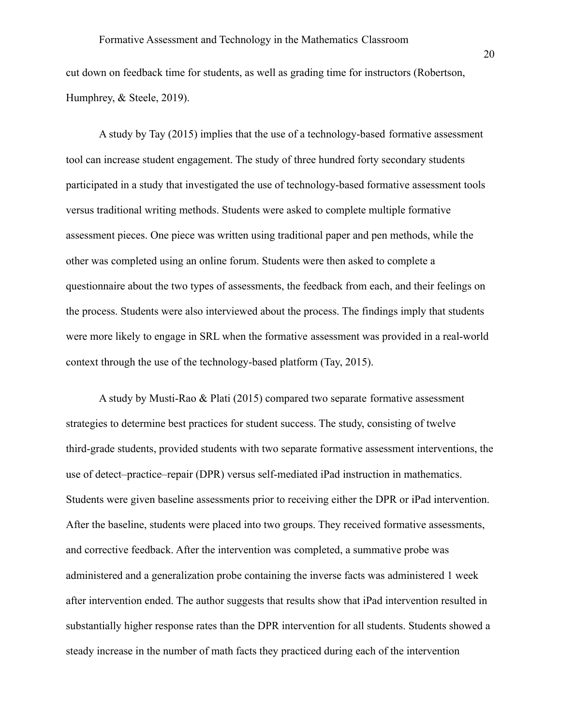cut down on feedback time for students, as well as grading time for instructors (Robertson, Humphrey, & Steele, 2019).

A study by Tay (2015) implies that the use of a technology-based formative assessment tool can increase student engagement. The study of three hundred forty secondary students participated in a study that investigated the use of technology-based formative assessment tools versus traditional writing methods. Students were asked to complete multiple formative assessment pieces. One piece was written using traditional paper and pen methods, while the other was completed using an online forum. Students were then asked to complete a questionnaire about the two types of assessments, the feedback from each, and their feelings on the process. Students were also interviewed about the process. The findings imply that students were more likely to engage in SRL when the formative assessment was provided in a real-world context through the use of the technology-based platform (Tay, 2015).

A study by Musti-Rao & Plati (2015) compared two separate formative assessment strategies to determine best practices for student success. The study, consisting of twelve third-grade students, provided students with two separate formative assessment interventions, the use of detect–practice–repair (DPR) versus self-mediated iPad instruction in mathematics. Students were given baseline assessments prior to receiving either the DPR or iPad intervention. After the baseline, students were placed into two groups. They received formative assessments, and corrective feedback. After the intervention was completed, a summative probe was administered and a generalization probe containing the inverse facts was administered 1 week after intervention ended. The author suggests that results show that iPad intervention resulted in substantially higher response rates than the DPR intervention for all students. Students showed a steady increase in the number of math facts they practiced during each of the intervention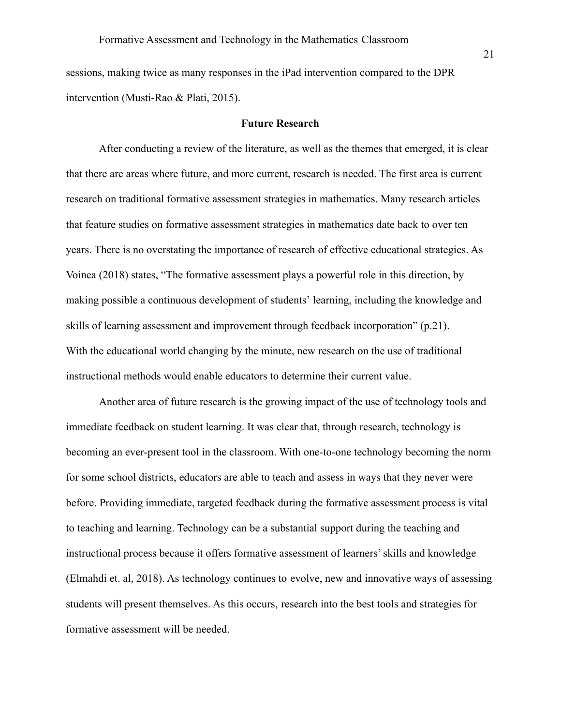sessions, making twice as many responses in the iPad intervention compared to the DPR intervention (Musti-Rao & Plati, 2015).

#### **Future Research**

After conducting a review of the literature, as well as the themes that emerged, it is clear that there are areas where future, and more current, research is needed. The first area is current research on traditional formative assessment strategies in mathematics. Many research articles that feature studies on formative assessment strategies in mathematics date back to over ten years. There is no overstating the importance of research of effective educational strategies. As Voinea (2018) states, "The formative assessment plays a powerful role in this direction, by making possible a continuous development of students' learning, including the knowledge and skills of learning assessment and improvement through feedback incorporation" (p.21). With the educational world changing by the minute, new research on the use of traditional instructional methods would enable educators to determine their current value.

Another area of future research is the growing impact of the use of technology tools and immediate feedback on student learning. It was clear that, through research, technology is becoming an ever-present tool in the classroom. With one-to-one technology becoming the norm for some school districts, educators are able to teach and assess in ways that they never were before. Providing immediate, targeted feedback during the formative assessment process is vital to teaching and learning. Technology can be a substantial support during the teaching and instructional process because it offers formative assessment of learners' skills and knowledge (Elmahdi et. al, 2018). As technology continues to evolve, new and innovative ways of assessing students will present themselves. As this occurs, research into the best tools and strategies for formative assessment will be needed.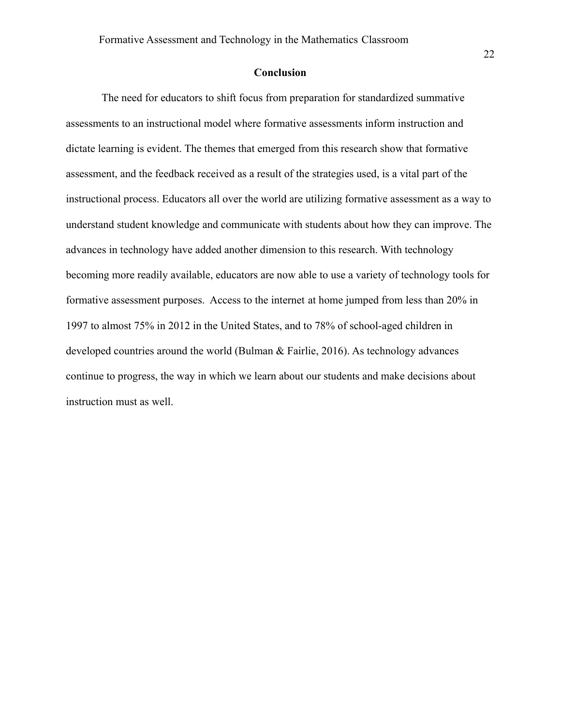#### **Conclusion**

The need for educators to shift focus from preparation for standardized summative assessments to an instructional model where formative assessments inform instruction and dictate learning is evident. The themes that emerged from this research show that formative assessment, and the feedback received as a result of the strategies used, is a vital part of the instructional process. Educators all over the world are utilizing formative assessment as a way to understand student knowledge and communicate with students about how they can improve. The advances in technology have added another dimension to this research. With technology becoming more readily available, educators are now able to use a variety of technology tools for formative assessment purposes. Access to the internet at home jumped from less than 20% in 1997 to almost 75% in 2012 in the United States, and to 78% of school-aged children in developed countries around the world (Bulman & Fairlie, 2016). As technology advances continue to progress, the way in which we learn about our students and make decisions about instruction must as well.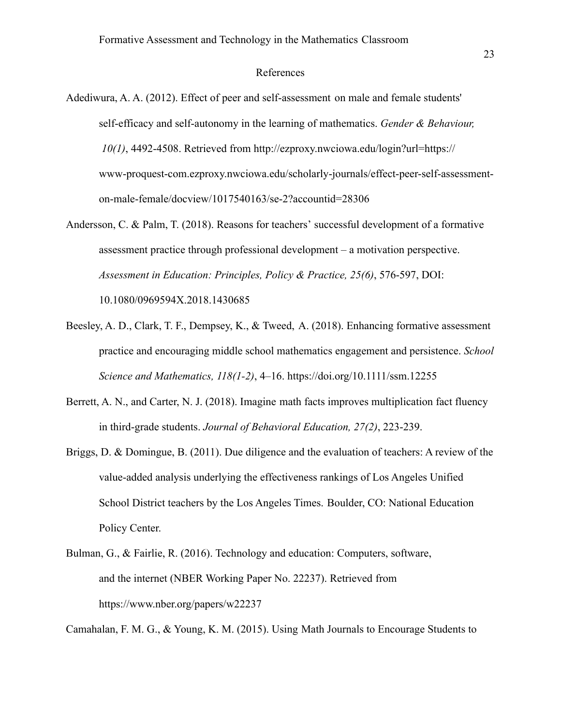#### References

- Adediwura, A. A. (2012). Effect of peer and self-assessment on male and female students' self-efficacy and self-autonomy in the learning of mathematics. *Gender & Behaviour, 10(1)*, 4492-4508. Retrieved from http://ezproxy.nwciowa.edu/login?url=https:// www-proquest-com.ezproxy.nwciowa.edu/scholarly-journals/effect-peer-self-assessmenton-male-female/docview/1017540163/se-2?accountid=28306
- Andersson, C. & Palm, T. (2018). Reasons for teachers' successful development of a formative assessment practice through professional development – a motivation perspective. *Assessment in Education: Principles, Policy & Practice, 25(6)*, 576-597, DOI: 10.1080/0969594X.2018.1430685
- Beesley, A. D., Clark, T. F., Dempsey, K., & Tweed, A. (2018). Enhancing formative assessment practice and encouraging middle school mathematics engagement and persistence. *School Science and Mathematics, 118(1-2)*, 4–16. https://doi.org/10.1111/ssm.12255
- Berrett, A. N., and Carter, N. J. (2018). Imagine math facts improves multiplication fact fluency in third-grade students. *Journal of Behavioral Education, 27(2)*, 223-239.
- Briggs, D. & Domingue, B. (2011). Due diligence and the evaluation of teachers: A review of the value-added analysis underlying the effectiveness rankings of Los Angeles Unified School District teachers by the Los Angeles Times. Boulder, CO: National Education Policy Center.
- Bulman, G., & Fairlie, R. (2016). Technology and education: Computers, software, and the internet (NBER Working Paper No. 22237). Retrieved from https://www.nber.org/papers/w22237

Camahalan, F. M. G., & Young, K. M. (2015). Using Math Journals to Encourage Students to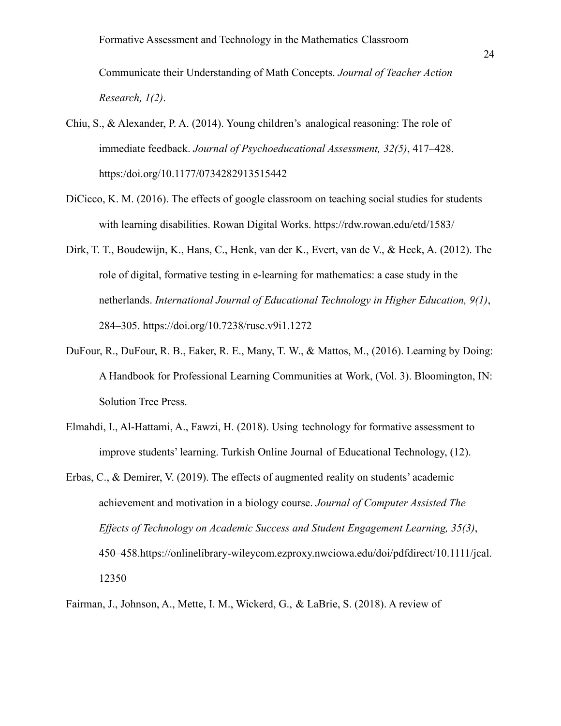Communicate their Understanding of Math Concepts. *Journal of Teacher Action Research, 1(2)*.

- Chiu, S., & Alexander, P. A. (2014). Young children's analogical reasoning: The role of immediate feedback. *Journal of Psychoeducational Assessment, 32(5)*, 417–428. https:/doi.org/10.1177/0734282913515442
- DiCicco, K. M. (2016). The effects of google classroom on teaching social studies for students with learning disabilities. Rowan Digital Works. https://rdw.rowan.edu/etd/1583/
- Dirk, T. T., Boudewijn, K., Hans, C., Henk, van der K., Evert, van de V., & Heck, A. (2012). The role of digital, formative testing in e-learning for mathematics: a case study in the netherlands. *International Journal of Educational Technology in Higher Education, 9(1)*, 284–305. https://doi.org/10.7238/rusc.v9i1.1272
- DuFour, R., DuFour, R. B., Eaker, R. E., Many, T. W., & Mattos, M., (2016). Learning by Doing: A Handbook for Professional Learning Communities at Work, (Vol. 3). Bloomington, IN: Solution Tree Press.
- Elmahdi, I., Al-Hattami, A., Fawzi, H. (2018). Using technology for formative assessment to improve students' learning. Turkish Online Journal of Educational Technology, (12).
- Erbas, C., & Demirer, V. (2019). The effects of augmented reality on students' academic achievement and motivation in a biology course. *Journal of Computer Assisted The Effects of Technology on Academic Success and Student Engagement Learning, 35(3)*, 450–458.https://onlinelibrary-wileycom.ezproxy.nwciowa.edu/doi/pdfdirect/10.1111/jcal. 12350
- Fairman, J., Johnson, A., Mette, I. M., Wickerd, G., & LaBrie, S. (2018). A review of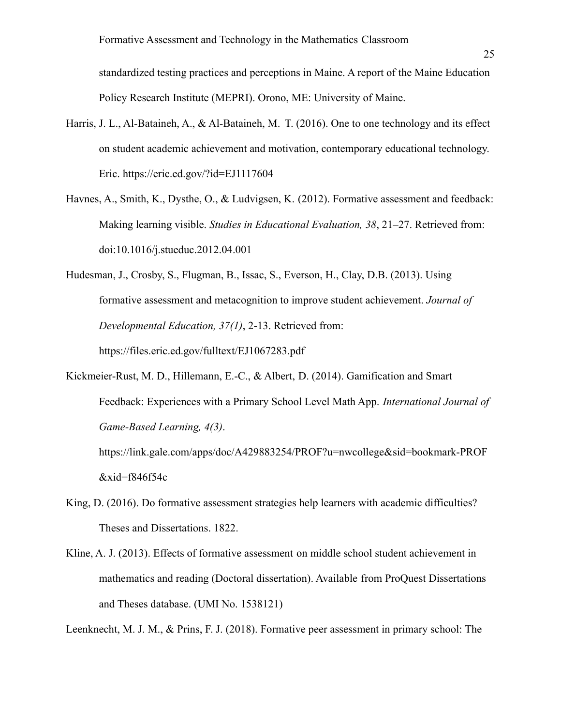standardized testing practices and perceptions in Maine. A report of the Maine Education Policy Research Institute (MEPRI). Orono, ME: University of Maine.

- Harris, J. L., Al-Bataineh, A., & Al-Bataineh, M. T. (2016). One to one technology and its effect on student academic achievement and motivation, contemporary educational technology. Eric. https://eric.ed.gov/?id=EJ1117604
- Havnes, A., Smith, K., Dysthe, O., & Ludvigsen, K. (2012). Formative assessment and feedback: Making learning visible. *Studies in Educational Evaluation, 38*, 21–27. Retrieved from: doi:10.1016/j.stueduc.2012.04.001
- Hudesman, J., Crosby, S., Flugman, B., Issac, S., Everson, H., Clay, D.B. (2013). Using formative assessment and metacognition to improve student achievement. *Journal of Developmental Education, 37(1)*, 2-13. Retrieved from: https://files.eric.ed.gov/fulltext/EJ1067283.pdf
- Kickmeier-Rust, M. D., Hillemann, E.-C., & Albert, D. (2014). Gamification and Smart Feedback: Experiences with a Primary School Level Math App. *International Journal of Game-Based Learning, 4(3)*.

https://link.gale.com/apps/doc/A429883254/PROF?u=nwcollege&sid=bookmark-PROF  $&$ xid=f846f54c

- King, D. (2016). Do formative assessment strategies help learners with academic difficulties? Theses and Dissertations. 1822.
- Kline, A. J. (2013). Effects of formative assessment on middle school student achievement in mathematics and reading (Doctoral dissertation). Available from ProQuest Dissertations and Theses database. (UMI No. 1538121)

Leenknecht, M. J. M., & Prins, F. J. (2018). Formative peer assessment in primary school: The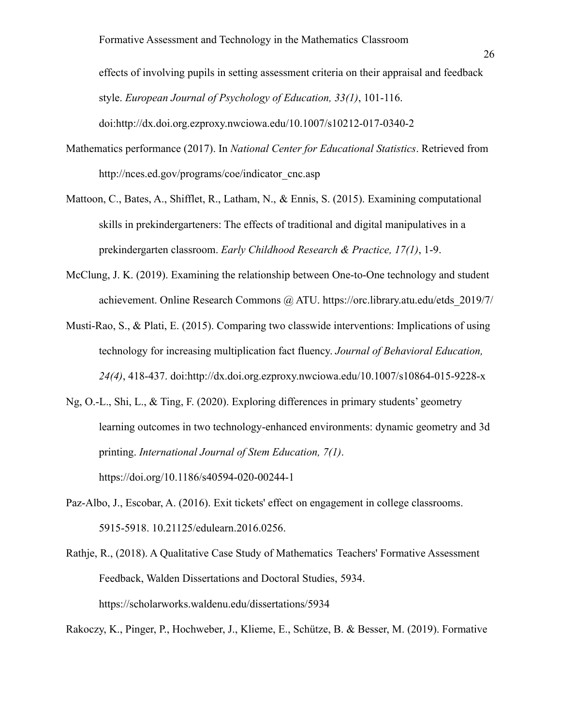effects of involving pupils in setting assessment criteria on their appraisal and feedback style. *European Journal of Psychology of Education, 33(1)*, 101-116. doi:http://dx.doi.org.ezproxy.nwciowa.edu/10.1007/s10212-017-0340-2

- Mathematics performance (2017). In *National Center for Educational Statistics*. Retrieved from http://nces.ed.gov/programs/coe/indicator\_cnc.asp
- Mattoon, C., Bates, A., Shifflet, R., Latham, N., & Ennis, S. (2015). Examining computational skills in prekindergarteners: The effects of traditional and digital manipulatives in a prekindergarten classroom. *Early Childhood Research & Practice, 17(1)*, 1-9.
- McClung, J. K. (2019). Examining the relationship between One-to-One technology and student achievement. Online Research Commons @ ATU. https://orc.library.atu.edu/etds\_2019/7/
- Musti-Rao, S., & Plati, E. (2015). Comparing two classwide interventions: Implications of using technology for increasing multiplication fact fluency. *Journal of Behavioral Education, 24(4)*, 418-437. doi:http://dx.doi.org.ezproxy.nwciowa.edu/10.1007/s10864-015-9228-x
- Ng, O.-L., Shi, L., & Ting, F. (2020). Exploring differences in primary students' geometry learning outcomes in two technology-enhanced environments: dynamic geometry and 3d printing. *International Journal of Stem Education, 7(1)*. https://doi.org/10.1186/s40594-020-00244-1
- Paz-Albo, J., Escobar, A. (2016). Exit tickets' effect on engagement in college classrooms. 5915-5918. 10.21125/edulearn.2016.0256.
- Rathje, R., (2018). A Qualitative Case Study of Mathematics Teachers' Formative Assessment Feedback, Walden Dissertations and Doctoral Studies, 5934. https://scholarworks.waldenu.edu/dissertations/5934

Rakoczy, K., Pinger, P., Hochweber, J., Klieme, E., Schütze, B. & Besser, M. (2019). Formative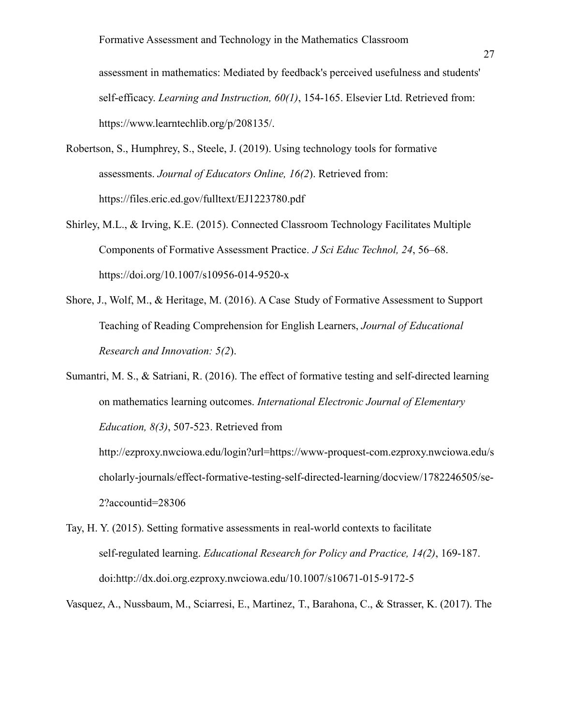assessment in mathematics: Mediated by feedback's perceived usefulness and students' self-efficacy. *Learning and Instruction, 60(1)*, 154-165. Elsevier Ltd. Retrieved from: https://www.learntechlib.org/p/208135/.

- Robertson, S., Humphrey, S., Steele, J. (2019). Using technology tools for formative assessments. *Journal of Educators Online, 16(2*). Retrieved from: https://files.eric.ed.gov/fulltext/EJ1223780.pdf
- Shirley, M.L., & Irving, K.E. (2015). Connected Classroom Technology Facilitates Multiple Components of Formative Assessment Practice. *J Sci Educ Technol, 24*, 56–68. https://doi.org/10.1007/s10956-014-9520-x
- Shore, J., Wolf, M., & Heritage, M. (2016). A Case Study of Formative Assessment to Support Teaching of Reading Comprehension for English Learners, *Journal of Educational Research and Innovation: 5(2*).

Sumantri, M. S., & Satriani, R. (2016). The effect of formative testing and self-directed learning on mathematics learning outcomes. *International Electronic Journal of Elementary Education, 8(3)*, 507-523. Retrieved from http://ezproxy.nwciowa.edu/login?url=https://www-proquest-com.ezproxy.nwciowa.edu/s

cholarly-journals/effect-formative-testing-self-directed-learning/docview/1782246505/se-2?accountid=28306

Tay, H. Y. (2015). Setting formative assessments in real-world contexts to facilitate self-regulated learning. *Educational Research for Policy and Practice, 14(2)*, 169-187. doi:http://dx.doi.org.ezproxy.nwciowa.edu/10.1007/s10671-015-9172-5

Vasquez, A., Nussbaum, M., Sciarresi, E., Martinez, T., Barahona, C., & Strasser, K. (2017). The